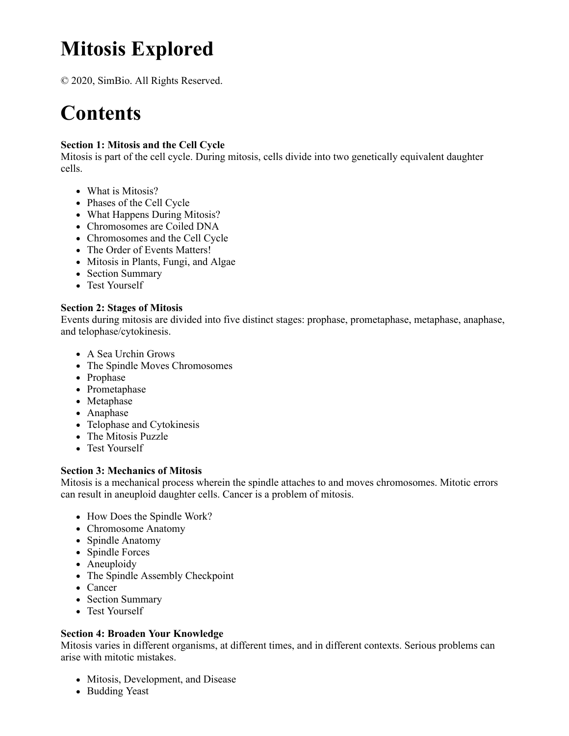# **Mitosis Explored**

© 2020, SimBio. All Rights Reserved.

# **Contents**

### **Section 1: Mitosis and the Cell Cycle**

Mitosis is part of the cell cycle. During mitosis, cells divide into two genetically equivalent daughter cells.

- What is Mitosis?
- Phases of the Cell Cycle
- What Happens During Mitosis?
- Chromosomes are Coiled DNA
- Chromosomes and the Cell Cycle
- The Order of Events Matters!
- Mitosis in Plants, Fungi, and Algae
- Section Summary
- Test Yourself

#### **Section 2: Stages of Mitosis**

Events during mitosis are divided into five distinct stages: prophase, prometaphase, metaphase, anaphase, and telophase/cytokinesis.

- A Sea Urchin Grows
- The Spindle Moves Chromosomes
- Prophase
- Prometaphase
- Metaphase
- Anaphase
- Telophase and Cytokinesis
- The Mitosis Puzzle
- Test Yourself

#### **Section 3: Mechanics of Mitosis**

Mitosis is a mechanical process wherein the spindle attaches to and moves chromosomes. Mitotic errors can result in aneuploid daughter cells. Cancer is a problem of mitosis.

- How Does the Spindle Work?
- Chromosome Anatomy
- Spindle Anatomy
- Spindle Forces
- Aneuploidy
- The Spindle Assembly Checkpoint
- Cancer
- Section Summary
- Test Yourself

#### **Section 4: Broaden Your Knowledge**

Mitosis varies in different organisms, at different times, and in different contexts. Serious problems can arise with mitotic mistakes.

- Mitosis, Development, and Disease
- Budding Yeast